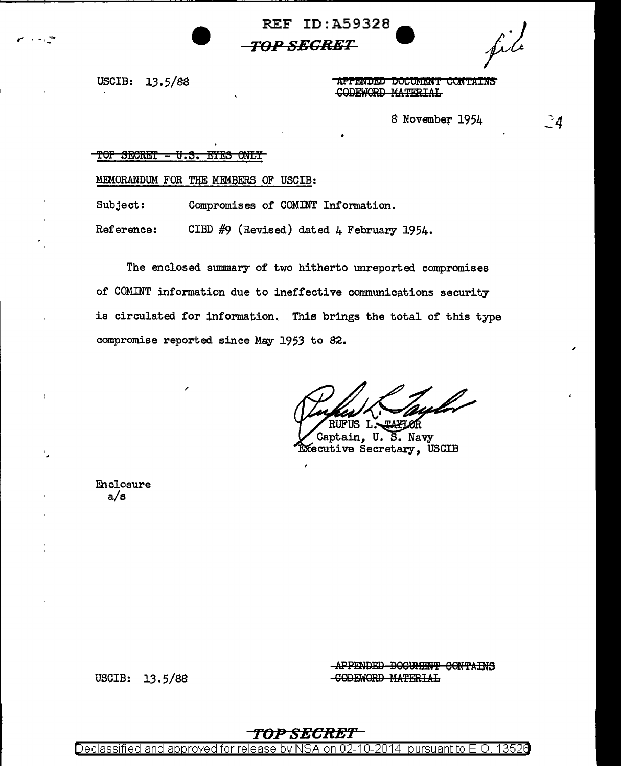**REF ID: A59328** 

### *TOP SECRET*

USCIB: 13.5/88

APPENDED DOCUMENT CONTAINS CODEWORD MATERIAL

8 November 1954

## $\mathbf{d}$

#### ተፀጉ SECRET - U.S. EYES ONLY

#### MEMORANDUM FOR THE MEMBERS OF USCIB:

Subject: Compromises of COMINT Information.

Reference: CIBD #9 (Revised) dated 4 February 1954.

The enclosed summary of two hitherto unreported compromises of COMINT information due to ineffective communications security is circulated for information. This brings the total of this type compromise reported since May 1953 to 82.

RUFUS L. **TAYIOR** 

Captain, U. S. Navy Executive Secretary, USCIB

Enclosure  $a/s$ 

 $\mathbf{I}$ 

ŀ,

APPENDED DOCUMENT CONTAINS -CODEWORD MATERIAL

USCIB: 13.5/88

13520 <u>Declassified and approved for release by NSA</u> 02-10-2014 pursuant to  $E.O.$ on